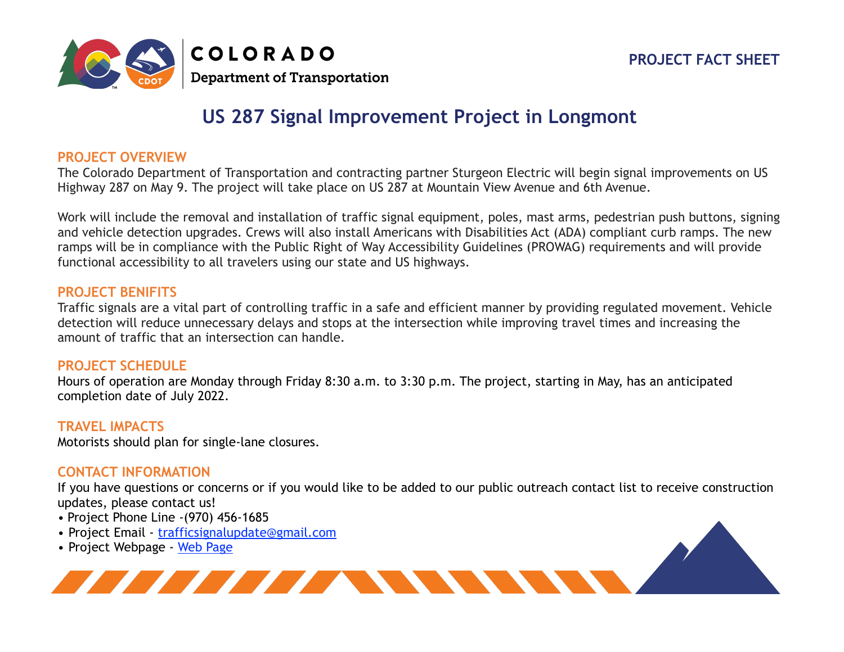# **PROJECT FACT SHEET**



# **US 287 Signal Improvement Project in Longmont**

## **PROJECT OVERVIEW**

The Colorado Department of Transportation and contracting partner Sturgeon Electric will begin signal improvements on US Highway 287 on May 9. The project will take place on US 287 at Mountain View Avenue and 6th Avenue.

Work will include the removal and installation of traffic signal equipment, poles, mast arms, pedestrian push buttons, signing and vehicle detection upgrades. Crews will also install Americans with Disabilities Act (ADA) compliant curb ramps. The new ramps will be in compliance with the Public Right of Way Accessibility Guidelines (PROWAG) requirements and will provide functional accessibility to all travelers using our state and US highways.

#### **PROJECT BENIFITS**

Traffic signals are a vital part of controlling traffic in a safe and efficient manner by providing regulated movement. Vehicle detection will reduce unnecessary delays and stops at the intersection while improving travel times and increasing the amount of traffic that an intersection can handle.

#### **PROJECT SCHEDULE**

Hours of operation are Monday through Friday 8:30 a.m. to 3:30 p.m. The project, starting in May, has an anticipated completion date of July 2022.

### **TRAVEL IMPACTS**

Motorists should plan for single-lane closures.

### **CONTACT INFORMATION**

If you have questions or concerns or if you would like to be added to our public outreach contact list to receive construction updates, please contact us!

- Project Phone Line -(970) 456-1685
- Project Email [trafficsignalupdate@gmail.com](mailto:trafficsignalupdate@gmail.com)
- Project Webpage [Web Page](https://www.codot.gov/projects/i70-parachute-to-rulison-resurfacing)